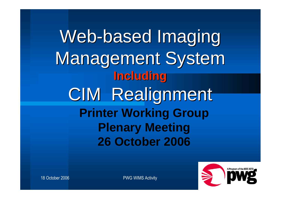Web-based Imaging Management System **Including** CIM Realignment **Printer Working Group Plenary Meeting 26 October 2006**



18 October 2006 **PWG WIMS Activity**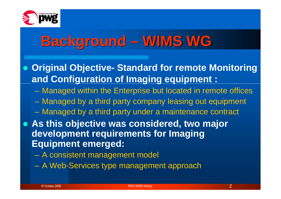

## **Background – WIMS WG**

- **Original Objective- Standard for remote Monitoring and Configuration of Imaging equipment :**
	- Managed within the Enterprise but located in remote offices
	- Managed by a third party company leasing out equipment
	- Managed by a third party under a maintenance contract
- **As this objective was considered, two major development requirements for Imaging Equipment emerged:**
	- A consistent management model
	- A Web-Services type management approach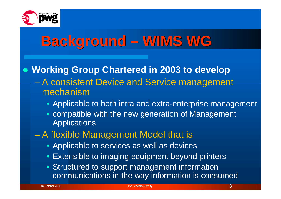

## **Background – WIMS WG**

#### **Working Group Chartered in 2003 to develop** – A consistent Device and Service management mechanism

- Applicable to both intra and extra-enterprise management
- compatible with the new generation of Management **Applications**
- A flexible Management Model that is
	- Applicable to services as well as devices
	- Extensible to imaging equipment beyond printers
	- Structured to support management information communications in the way information is consumed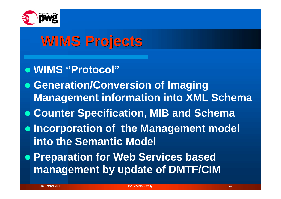

# **WIMS Projects**

- **WIMS "Protocol"**
- **Generation/Conversion of Imaging Management information into XML Schema**
- **Counter Specification, MIB and Schema**
- **Incorporation of the Management model into the Semantic Model**
- **Preparation for Web Services based management by update of DMTF/CIM**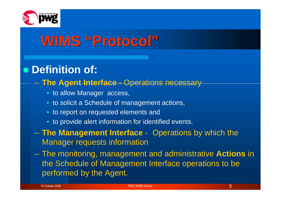

## **WIMS "Protocol"**

#### **Definition of:**

#### – **The Agent Interface -** Operations necessary

- to allow Manager access,
- to solicit a Schedule of management actions,
- to report on requested elements and
- to provide alert information for identified events.
- **The Management Interface** Operations by which the Manager requests information
- The monitoring, management and administrative **Actions** in the Schedule of Management Interface operations to be performed by the Agent.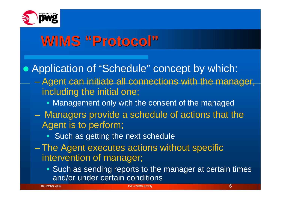

### **WIMS "Protocol"**

• Application of "Schedule" concept by which:

- Agent can initiate all connections with the manager, including the initial one;
	- Management only with the consent of the managed
- Managers provide a schedule of actions that the Agent is to perform;
	- Such as getting the next schedule
- The Agent executes actions without specific intervention of manager;
	- Such as sending reports to the manager at certain times and/or under certain conditions

18 October 2006 **PWG WIMS Activity 6 Activity 6 Activity 6 Activity 6 Activity 6 Activity 6 Activity 6 Activity**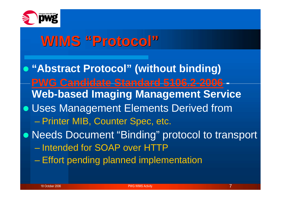

#### **WIMS "Protocol"**

**"Abstract Protocol" (without binding) PWG Candidate Standard 5106.2-2006 - Web-based Imaging Management Service** Uses Management Elements Derived from – Printer MIB, Counter Spec, etc. Needs Document "Binding" protocol to transport – Intended for SOAP over HTTP – Effort pending planned implementation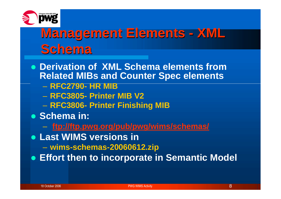

#### **Management Elements - XML Schema**

- **Derivation of XML Schema elements from Related MIBs and Counter Spec elements**
	- **RFC2790- HR MIB**
	- **RFC3805- Printer MIB V2**
	- **RFC3806- Printer Finishing MIB**
- **Schema in:** 
	- **ftp://ftp.pwg.org/pub/pwg/wims/schemas/**
- **Last WIMS versions in**
	- **wims-schemas-20060612.zip**
- **Effort then to incorporate in Semantic Model**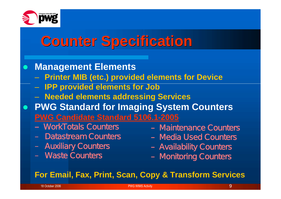

### **Counter Specification**

#### **Management Elements**

- **Printer MIB (etc.) provided elements for Device**
- **IPP provided elements for Job**
- **Needed elements addressing Services**
- **PWG Standard for Imaging System Counters PWG Candidate Standard 5106.1-2005**
	- **–** WorkTotals Counters
	- Datastream Counters
	- Auxiliary Counters
	- Waste Counters
- Maintenance Counters
- Media Used Counters
- Availability Counters
- Monitoring Counters

#### **For Email, Fax, Print, Scan, Copy & Transform Services**

18 October 2006 PWG WIMS Activity 9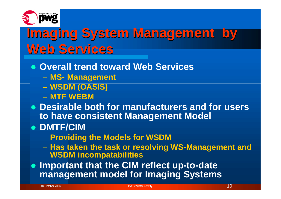

### **Imaging System Management by Web Services**

- **Overall trend toward Web Services**
	- **MS- Management**
	- **WSDM (OASIS)**
	- **MTF WEBM**
- **Desirable both for manufacturers and for users to have consistent Management Model**
- **DMTF/CIM**
	- **Providing the Models for WSDM**
	- **Has taken the task or resolving WS-Management and WSDM incompatabilities**

 **Important that the CIM reflect up-to-date management model for Imaging Systems**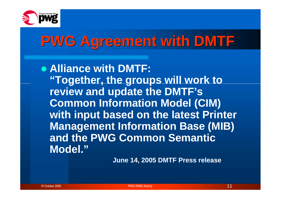

## **PWG Agreement with DMTF**

**Alliance with DMTF: "Together, the groups will work to review and update the DMTF's Common Information Model (CIM) with input based on the latest Printer Management Information Base (MIB) and the PWG Common Semantic Model."**

**June 14, 2005 DMTF Press release**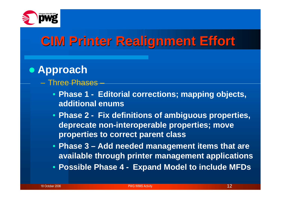

#### **CIM Printer Realignment Effort**

#### **Approach**

- Three Phases
	- **Phase 1 - Editorial corrections; mapping objects, additional enums**
	- **Phase 2 - Fix definitions of ambiguous properties, deprecate non-interoperable properties; move properties to correct parent class**
	- **Phase 3 – Add needed management items that are available through printer management applications**
	- **Possible Phase 4 - Expand Model to include MFDs**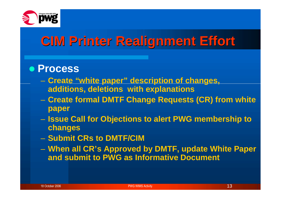

#### **CIM Printer Realignment Effort**

#### **Process**

- **Create "white paper" description of changes, additions, deletions with explanations**
- **Create formal DMTF Change Requests (CR) from white paper**
- **Issue Call for Objections to alert PWG membership to changes**
- **Submit CRs to DMTF/CIM**
- **When all CR's Approved by DMTF, update White Paper and submit to PWG as Informative Document**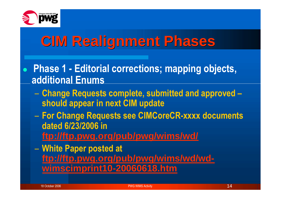

# **CIM Realignment Phases**

- **Phase 1 - Editorial corrections; mapping objects, additional Enums**
	- **Change Requests complete, submitted and approved – should appear in next CIM update**
	- **For Change Requests see CIMCoreCR-xxxx documents dated 6/23/2006 in ftp://ftp.pwg.org/pub/pwg/wims/wd/**
	- **White Paper posted at ftp://ftp.pwg.org/pub/pwg/wims/wd/wdwimscimprint10-20060618.htm**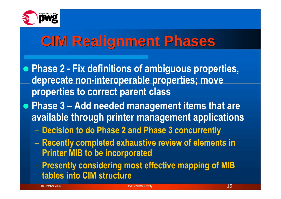

# **CIM Realignment Phases**

- **Phase 2 - Fix definitions of ambiguous properties, deprecate non-interoperable properties; move properties to correct parent class**
- **Phase 3 – Add needed management items that are available through printer management applications**
	- **Decision to do Phase 2 and Phase 3 concurrently**
	- **Recently completed exhaustive review of elements in Printer MIB to be incorporated**
	- **Presently considering most effective mapping of MIB tables into CIM structure**

18 October 2006 **PWG WIMS Activity** 15 Activity 15 Activity 15 Activity 15 Activity 15 Activity 15 Activity 15 Activity 15 Activity 15 Activity 15 Activity 15 Activity 15 Activity 15 Activity 16 Activity 15 Activity 15 Ac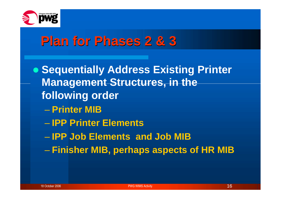

#### **Plan for Phases 2 & 3**

**• Sequentially Address Existing Printer Management Structures, in the following order**

- **Printer MIB**
- **IPP Printer Elements**
- **IPP Job Elements and Job MIB**
- **Finisher MIB, perhaps aspects of HR MIB**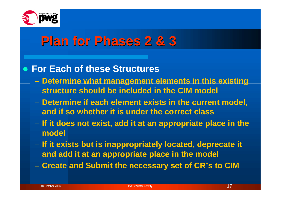

#### **Plan for Phases 2 & 3**

#### **For Each of these Structures**

- **Determine what management elements in this existing structure should be included in the CIM model**
- **Determine if each element exists in the current model, and if so whether it is under the correct class**
- **If it does not exist, add it at an appropriate place in the model**
- **If it exists but is inappropriately located, deprecate it and add it at an appropriate place in the model**
- **Create and Submit the necessary set of CR's to CIM**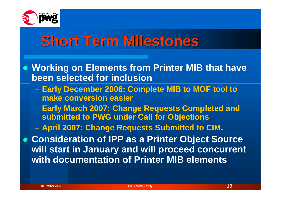

#### **Short Term Milestones**

- **Working on Elements from Printer MIB that have been selected for inclusion**
	- **Early December 2006: Complete MIB to MOF tool to make conversion easier**
	- **Early March 2007: Change Requests Completed and submitted to PWG under Call for Objections**
	- **April 2007: Change Requests Submitted to CIM.**
- **Consideration of IPP as a Printer Object Source will start in January and will proceed concurrent with documentation of Printer MIB elements**